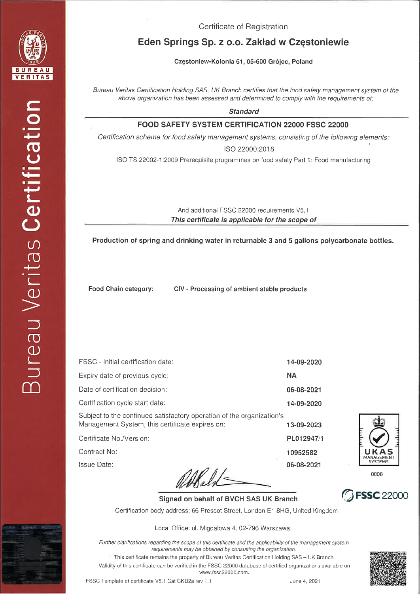

Certificate of Registration

# Eden Springs Sp. z o.o. Zakład w Częstoniewie

Częstoniew-Kolonia 61, 05-600 Grójec, Poland

Bureau Veritas Certification Holding SAS, UK Branch certifies that the food safety management system of the above organization has been assessed and determined to comply with the requirements of:

**Standard** 

#### FOOD SAFETY SYSTEM CERTIFICATION 22000 FSSC 22000

Certification scheme for food safety management systems, consisting of the following elements:

ISO 22000:2018

ISO TS 22002-1:2009 Prerequisite programmes on food safety Part 1: Food manufacturing

And additional FSSC 22000 requirements V5.1 This certificate is applicable for the scope of

Production of spring and drinking water in returnable 3 and 5 gallons polycarbonate bottles.

Food Chain category:

CIV - Processing of ambient stable products

| FSSC - Initial certification date:                                                                                       | 14-09-2020 |
|--------------------------------------------------------------------------------------------------------------------------|------------|
| Expiry date of previous cycle:                                                                                           | <b>NA</b>  |
| Date of certification decision:                                                                                          | 06-08-2021 |
| Certification cycle start date:                                                                                          | 14-09-2020 |
| Subject to the continued satisfactory operation of the organization's<br>Management System, this certificate expires on: | 13-09-2023 |
| Certificate No./Version:                                                                                                 | PL012947/1 |
| Contract No:                                                                                                             | 10952582   |
| lssue Date:                                                                                                              | 06-08-2021 |
|                                                                                                                          |            |



0008



Signed on behalf of BVCH SAS UK Branch Certification body address: 66 Prescot Street, London E1 8HG, United Kingdom

Local Office: ul. Migdałowa 4, 02-796 Warszawa

Further clarifications regarding the scope of this certificate and the applicability of the management system requirements may be obtained by consulting the organization.

This certificate remains the property of Bureau Veritas Certification Holding SAS - UK Branch Validity of this certificate can be verified in the FSSC 22000 database of certified organizations available on www.fssc22000.com.

FSSC Template of certificate V5.1 Cat CKD2a rev 1.1

June 4, 2021

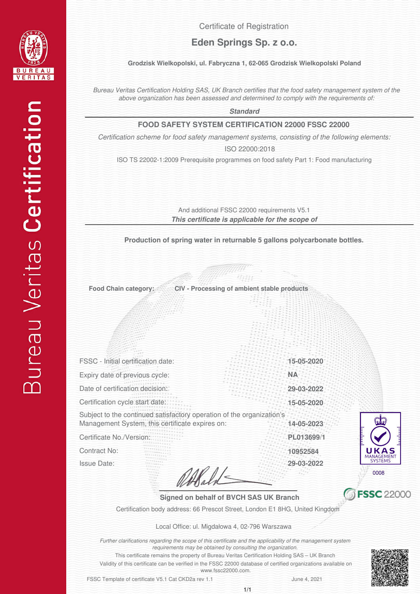

Certificate of Registration

## **Eden Springs Sp. z o.o.**

#### **Grodzisk Wielkopolski, ul. Fabryczna 1, 62-065 Grodzisk Wielkopolski Poland**

*Bureau Veritas Certification Holding SAS, UK Branch certifies that the food safety management system of the above organization has been assessed and determined to comply with the requirements of:*

*Standard*

#### **FOOD SAFETY SYSTEM CERTIFICATION 22000 FSSC 22000**

*Certification scheme for food safety management systems, consisting of the following elements:*

ISO 22000:2018

ISO TS 22002-1:2009 Prerequisite programmes on food safety Part 1: Food manufacturing

*This certificate is applicable for the scope of* And additional FSSC 22000 requirements V5.1

**Production of spring water in returnable 5 gallons polycarbonate bottles.**

**Food Chain category:**

**CIV - Processing of ambient stable products**

FSSC - Initial certification date: Certification cycle start date: Date of certification decision: Expiry date of previous cycle:

Subject to the continued satisfactory operation of the organization's Management System, this certificate expires on:

Certificate No./Version:

Contract No:

Issue Date:

Wald



Certification body address: 66 Prescot Street, London E1 8HG, United Kingdom

Local Office: ul. Migdałowa 4, 02-796 Warszawa

*Further clarifications regarding the scope of this certificate and the applicability of the management system requirements may be obtained by consulting the organization.*

Validity of this certificate can be verified in the FSSC 22000 database of certified organizations available on This certificate remains the property of Bureau Veritas Certification Holding SAS – UK Branch<br>of this certificate can be verified in the FSSC 22000 database of certified organizations available on<br>www.fssc22000.com.

FSSC Template of certificate V5.1 Cat CKD2a rev 1.1

June 4, 2021

**10952584**

**PL013699**/**1 14-05-2023**

**15-05-2020 29-03-2022**

**15-05-2020**

**NA**